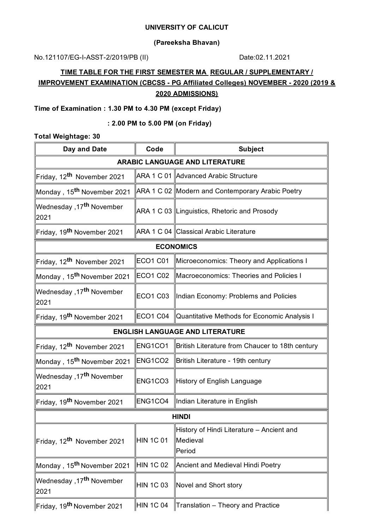#### **UNIVERSITY OF CALICUT**

## **(Pareeksha Bhavan)**

No.121107/EG-I-ASST-2/2019/PB (II) Date:02.11.2021

# **TIME TABLE FOR THE FIRST SEMESTER MA REGULAR / SUPPLEMENTARY / IMPROVEMENT EXAMINATION (CBCSS - PG Affiliated Colleges) NOVEMBER - 2020 (2019 & 2020 ADMISSIONS)**

## **Time of Examination : 1.30 PM to 4.30 PM (except Friday)**

## **: 2.00 PM to 5.00 PM (on Friday)**

## **Total Weightage: 30**

| Day and Date                                 | Code                             | <b>Subject</b>                                                  |  |  |
|----------------------------------------------|----------------------------------|-----------------------------------------------------------------|--|--|
| <b>ARABIC LANGUAGE AND LITERATURE</b>        |                                  |                                                                 |  |  |
| Friday, 12 <sup>th</sup> November 2021       |                                  | ARA 1 C 01 Advanced Arabic Structure                            |  |  |
| Monday , 15 <sup>th</sup> November 2021      |                                  | ARA 1 C 02 Modern and Contemporary Arabic Poetry                |  |  |
| Wednesday ,17 <sup>th</sup> November<br>2021 |                                  | ARA 1 C 03 Linguistics, Rhetoric and Prosody                    |  |  |
| Friday, 19 <sup>th</sup> November 2021       |                                  | ARA 1 C 04 Classical Arabic Literature                          |  |  |
| <b>ECONOMICS</b>                             |                                  |                                                                 |  |  |
| Friday, 12 <sup>th</sup> November 2021       | <b>ECO1 C01</b>                  | Microeconomics: Theory and Applications I                       |  |  |
| Monday, 15 <sup>th</sup> November 2021       | ECO <sub>1</sub> C <sub>02</sub> | Macroeconomics: Theories and Policies I                         |  |  |
| Wednesday ,17 <sup>th</sup> November<br>2021 | ECO <sub>1</sub> C <sub>03</sub> | Indian Economy: Problems and Policies                           |  |  |
| Friday, 19 <sup>th</sup> November 2021       | <b>ECO1 C04</b>                  | Quantitative Methods for Economic Analysis I                    |  |  |
| <b>ENGLISH LANGUAGE AND LITERATURE</b>       |                                  |                                                                 |  |  |
| Friday, 12 <sup>th</sup> November 2021       | ENG1CO1                          | British Literature from Chaucer to 18th century                 |  |  |
| Monday , 15 <sup>th</sup> November 2021      | ENG1CO2                          | British Literature - 19th century                               |  |  |
| Wednesday ,17 <sup>th</sup> November<br>2021 | ENG1CO3                          | History of English Language                                     |  |  |
| Friday, 19 <sup>th</sup> November 2021       | ENG1CO4                          | Indian Literature in English                                    |  |  |
| <b>HINDI</b>                                 |                                  |                                                                 |  |  |
| Friday, 12 <sup>th</sup> November 2021       | HIN 1C 01                        | History of Hindi Literature - Ancient and<br>Medieval<br>Period |  |  |
| Monday, 15 <sup>th</sup> November 2021       | HIN 1C 02                        | Ancient and Medieval Hindi Poetry                               |  |  |
| Wednesday ,17 <sup>th</sup> November<br>2021 | <b>HIN 1C 03</b>                 | Novel and Short story                                           |  |  |
| Friday, 19 <sup>th</sup> November 2021       | HIN 1C 04                        | Translation - Theory and Practice                               |  |  |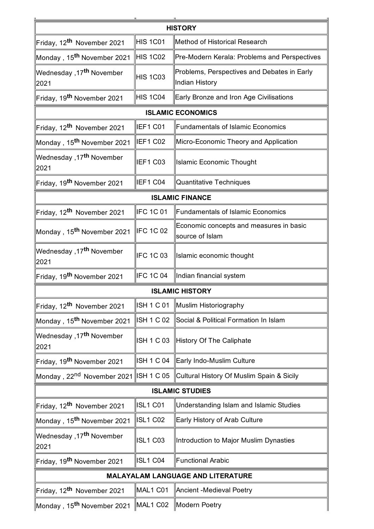| <b>HISTORY</b>                               |                   |                                                               |  |  |  |
|----------------------------------------------|-------------------|---------------------------------------------------------------|--|--|--|
| Friday, 12 <sup>th</sup> November 2021       | HIS 1C01          | Method of Historical Research                                 |  |  |  |
| Monday , 15 <sup>th</sup> November 2021      | HIS 1C02          | Pre-Modern Kerala: Problems and Perspectives                  |  |  |  |
| Wednesday ,17 <sup>th</sup> November<br>2021 | <b>HIS 1C03</b>   | Problems, Perspectives and Debates in Early<br>Indian History |  |  |  |
| Friday, 19 <sup>th</sup> November 2021       | HIS 1C04          | Early Bronze and Iron Age Civilisations                       |  |  |  |
|                                              |                   | <b>ISLAMIC ECONOMICS</b>                                      |  |  |  |
| Friday, 12 <sup>th</sup> November 2021       | IEF1 C01          | <b>Fundamentals of Islamic Economics</b>                      |  |  |  |
| Monday , 15 <sup>th</sup> November 2021      | IEF1 C02          | Micro-Economic Theory and Application                         |  |  |  |
| Wednesday ,17 <sup>th</sup> November<br>2021 | IEF1 C03          | <b>Islamic Economic Thought</b>                               |  |  |  |
| Friday, 19 <sup>th</sup> November 2021       | IEF1 C04          | Quantitative Techniques                                       |  |  |  |
| <b>ISLAMIC FINANCE</b>                       |                   |                                                               |  |  |  |
| Friday, 12 <sup>th</sup> November 2021       | <b>IFC 1C 01</b>  | <b>Fundamentals of Islamic Economics</b>                      |  |  |  |
| Monday , 15 <sup>th</sup> November 2021      | <b>IFC 1C 02</b>  | Economic concepts and measures in basic<br>source of Islam    |  |  |  |
| Wednesday ,17 <sup>th</sup> November<br>2021 | <b>IFC 1C 03</b>  | Islamic economic thought                                      |  |  |  |
| Friday, 19 <sup>th</sup> November 2021       | <b>IFC 1C 04</b>  | Indian financial system                                       |  |  |  |
|                                              |                   | <b>ISLAMIC HISTORY</b>                                        |  |  |  |
| Friday, 12 <sup>th</sup> November 2021       | <b>ISH 1 C 01</b> | Muslim Historiography                                         |  |  |  |
| Monday , 15 <sup>th</sup> November 2021∣     | ISH 1 C 02        | Social & Political Formation In Islam                         |  |  |  |
| Wednesday ,17 <sup>th</sup> November<br>2021 | <b>ISH 1 C 03</b> | History Of The Caliphate                                      |  |  |  |
| Friday, 19 <sup>th</sup> November 2021       | <b>ISH 1 C 04</b> | Early Indo-Muslim Culture                                     |  |  |  |
| Monday , 22 <sup>nd</sup> November 2021      | <b>ISH 1 C 05</b> | Cultural History Of Muslim Spain & Sicily                     |  |  |  |
| <b>ISLAMIC STUDIES</b>                       |                   |                                                               |  |  |  |
| Friday, 12 <sup>th</sup> November 2021       | <b>ISL1 C01</b>   | Understanding Islam and Islamic Studies                       |  |  |  |
| Monday , 15 <sup>th</sup> November 2021      | ISL1 C02          | Early History of Arab Culture                                 |  |  |  |
| Wednesday ,17 <sup>th</sup> November<br>2021 | <b>ISL1 C03</b>   | Introduction to Major Muslim Dynasties                        |  |  |  |
| Friday, 19 <sup>th</sup> November 2021       | ISL1 C04          | <b>Functional Arabic</b>                                      |  |  |  |
| <b>MALAYALAM LANGUAGE AND LITERATURE</b>     |                   |                                                               |  |  |  |
| Friday, 12 <sup>th</sup> November 2021       | MAL1 C01          | Ancient -Medieval Poetry                                      |  |  |  |
| ∥Monday , 15 <sup>th</sup> November 2021     | MAL1 C02          | Modern Poetry                                                 |  |  |  |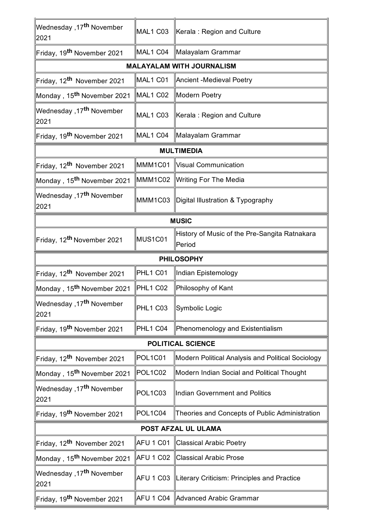| Wednesday ,17 <sup>th</sup> November<br>2021  | MAL1 C03         | Kerala: Region and Culture                              |  |  |
|-----------------------------------------------|------------------|---------------------------------------------------------|--|--|
| Friday, 19 <sup>th</sup> November 2021        | MAL1 C04         | Malayalam Grammar                                       |  |  |
| <b>MALAYALAM WITH JOURNALISM</b>              |                  |                                                         |  |  |
| Friday, 12 <sup>th</sup> November 2021        | MAL1 C01         | Ancient -Medieval Poetry                                |  |  |
| Monday , 15 <sup>th</sup> November 2021       | MAL1 C02         | Modern Poetry                                           |  |  |
| Wednesday ,17 <sup>th</sup> November<br>2021  | MAL1 C03         | Kerala: Region and Culture                              |  |  |
| Friday, 19 <sup>th</sup> November 2021        | MAL1 C04         | Malayalam Grammar                                       |  |  |
|                                               |                  | <b>MULTIMEDIA</b>                                       |  |  |
| Friday, 12 <sup>th</sup> November 2021        | MMM1C01          | Visual Communication                                    |  |  |
| Monday , 15 <sup>th</sup> November 2021∣      | MMM1C02          | Writing For The Media                                   |  |  |
| Wednesday ,17 <sup>th</sup> November<br>2021  | MMM1C03          | Digital Illustration & Typography                       |  |  |
| <b>MUSIC</b>                                  |                  |                                                         |  |  |
| Friday, 12 <sup>th</sup> November 2021        | MUS1C01          | History of Music of the Pre-Sangita Ratnakara<br>Period |  |  |
|                                               |                  | <b>PHILOSOPHY</b>                                       |  |  |
| Friday, 12 <sup>th</sup> November 2021        | PHL1 C01         | Indian Epistemology                                     |  |  |
| Monday , 15 <sup>th</sup> November 2021∣      | PHL1 C02         | Philosophy of Kant                                      |  |  |
| ∣Wednesday ,17 <sup>th</sup> November<br>2021 | PHL1 C03         | Symbolic Logic                                          |  |  |
| Friday, 19 <sup>th</sup> November 2021        | PHL1 C04         | Phenomenology and Existentialism                        |  |  |
| <b>POLITICAL SCIENCE</b>                      |                  |                                                         |  |  |
| Friday, 12 <sup>th</sup> November 2021        | POL1C01          | Modern Political Analysis and Political Sociology       |  |  |
| Monday , 15 <sup>th</sup> November 2021∣      | POL1C02          | Modern Indian Social and Political Thought              |  |  |
| ∣Wednesday ,17 <sup>th</sup> November<br>2021 | POL1C03          | <b>Indian Government and Politics</b>                   |  |  |
| ∥Friday, 19 <sup>th</sup> November 2021       | POL1C04          | Theories and Concepts of Public Administration          |  |  |
| POST AFZAL UL ULAMA                           |                  |                                                         |  |  |
| Friday, 12 <sup>th</sup> November 2021        | AFU 1 C01        | <b>Classical Arabic Poetry</b>                          |  |  |
| Monday , 15 <sup>th</sup> November 2021∣      | AFU 1 C02        | <b>Classical Arabic Prose</b>                           |  |  |
| Wednesday ,17 <sup>th</sup> November<br>2021  | <b>AFU 1 C03</b> | Literary Criticism: Principles and Practice             |  |  |
| Friday, 19 <sup>th</sup> November 2021        | AFU 1 C04        | Advanced Arabic Grammar                                 |  |  |
|                                               |                  |                                                         |  |  |